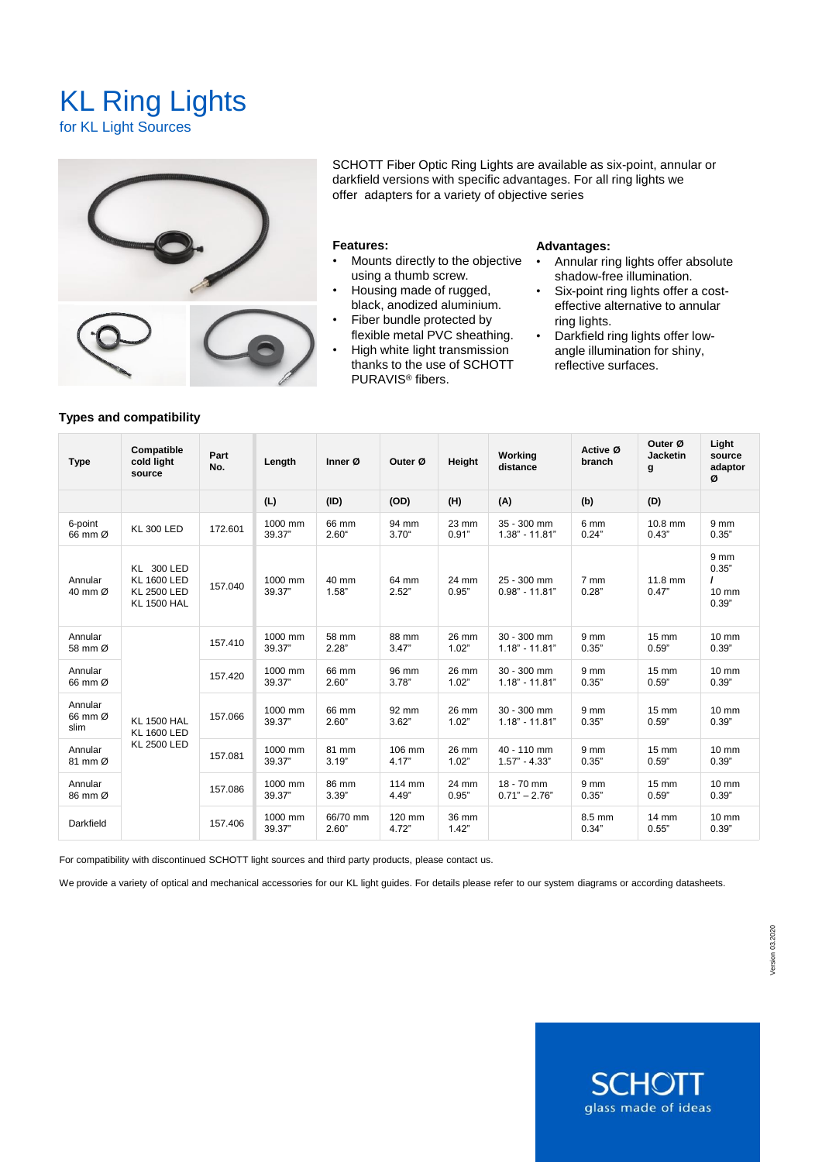# KL Ring Lights

for KL Light Sources



SCHOTT Fiber Optic Ring Lights are available as six-point, annular or darkfield versions with specific advantages. For all ring lights we offer adapters for a variety of objective series

### **Features:**

- Mounts directly to the objective using a thumb screw.
- Housing made of rugged, black, anodized aluminium.
- Fiber bundle protected by flexible metal PVC sheathing.
- High white light transmission thanks to the use of SCHOTT PURAVIS® fibers.

#### **Advantages:**

- Annular ring lights offer absolute shadow-free illumination.
- Six-point ring lights offer a costeffective alternative to annular ring lights.
- Darkfield ring lights offer lowangle illumination for shiny, reflective surfaces.

|  | <b>Type</b>                | Compatible<br>cold light<br>source                                                  | Part<br>No. | Length            | Inner Ø           | Outer Ø           | Height         | Working<br>distance             | Active Ø<br>branch       | Outer Ø<br><b>Jacketin</b><br>g | Light<br>source<br>adaptor<br>ø            |
|--|----------------------------|-------------------------------------------------------------------------------------|-------------|-------------------|-------------------|-------------------|----------------|---------------------------------|--------------------------|---------------------------------|--------------------------------------------|
|  |                            |                                                                                     |             | (L)               | (ID)              | (OD)              | (H)            | (A)                             | (b)                      | (D)                             |                                            |
|  | 6-point<br>66 mm Ø         | <b>KL 300 LED</b>                                                                   | 172.601     | 1000 mm<br>39.37" | 66 mm<br>$2.60$ " | 94 mm<br>$3.70$ " | 23 mm<br>0.91" | 35 - 300 mm<br>$1.38" - 11.81"$ | 6 mm<br>0.24"            | 10.8 mm<br>0.43"                | 9 <sub>mm</sub><br>0.35"                   |
|  | Annular<br>40 mm Ø         | <b>KL 300 LED</b><br><b>KL 1600 LED</b><br><b>KL 2500 LED</b><br><b>KL 1500 HAL</b> | 157.040     | 1000 mm<br>39.37" | 40 mm<br>1.58"    | 64 mm<br>2.52"    | 24 mm<br>0.95" | 25 - 300 mm<br>$0.98" - 11.81"$ | 7 mm<br>0.28"            | 11.8 mm<br>0.47"                | 9 <sub>mm</sub><br>0.35"<br>10 mm<br>0.39" |
|  | Annular<br>58 mm Ø         | <b>KL 1500 HAL</b><br><b>KL 1600 LED</b><br><b>KL 2500 LED</b>                      | 157.410     | 1000 mm<br>39.37" | 58 mm<br>2.28"    | 88 mm<br>3.47"    | 26 mm<br>1.02" | 30 - 300 mm<br>$1.18" - 11.81"$ | 9 <sub>mm</sub><br>0.35" | 15 mm<br>0.59"                  | $10 \text{ mm}$<br>0.39"                   |
|  | Annular<br>66 mm Ø         |                                                                                     | 157.420     | 1000 mm<br>39.37" | 66 mm<br>2.60"    | 96 mm<br>3.78"    | 26 mm<br>1.02" | 30 - 300 mm<br>$1.18" - 11.81"$ | 9 <sub>mm</sub><br>0.35" | 15 mm<br>0.59"                  | $10 \text{ mm}$<br>0.39"                   |
|  | Annular<br>66 mm Ø<br>slim |                                                                                     | 157.066     | 1000 mm<br>39.37" | 66 mm<br>2.60"    | 92 mm<br>3.62"    | 26 mm<br>1.02" | 30 - 300 mm<br>$1.18" - 11.81"$ | 9 <sub>mm</sub><br>0.35" | $15 \text{ mm}$<br>0.59"        | $10 \text{ mm}$<br>0.39"                   |
|  | Annular<br>81 mm Ø         |                                                                                     | 157.081     | 1000 mm<br>39.37" | 81 mm<br>3.19"    | 106 mm<br>4.17"   | 26 mm<br>1.02" | 40 - 110 mm<br>$1.57" - 4.33"$  | 9 <sub>mm</sub><br>0.35" | 15 mm<br>0.59"                  | $10 \text{ mm}$<br>0.39"                   |
|  | Annular<br>86 mm Ø         |                                                                                     | 157.086     | 1000 mm<br>39.37" | 86 mm<br>3.39"    | 114 mm<br>4.49"   | 24 mm<br>0.95" | 18 - 70 mm<br>$0.71" - 2.76"$   | 9 mm<br>0.35"            | 15 mm<br>0.59"                  | $10 \text{ mm}$<br>0.39"                   |
|  | Darkfield                  |                                                                                     | 157.406     | 1000 mm<br>39.37" | 66/70 mm<br>2.60" | 120 mm<br>4.72"   | 36 mm<br>1.42" |                                 | 8.5 mm<br>0.34"          | 14 mm<br>0.55"                  | $10 \text{ mm}$<br>0.39"                   |

For compatibility with discontinued SCHOTT light sources and third party products, please contact us.

We provide a variety of optical and mechanical accessories for our KL light guides. For details please refer to our system diagrams or according datasheets.



#### **Types and compatibility**